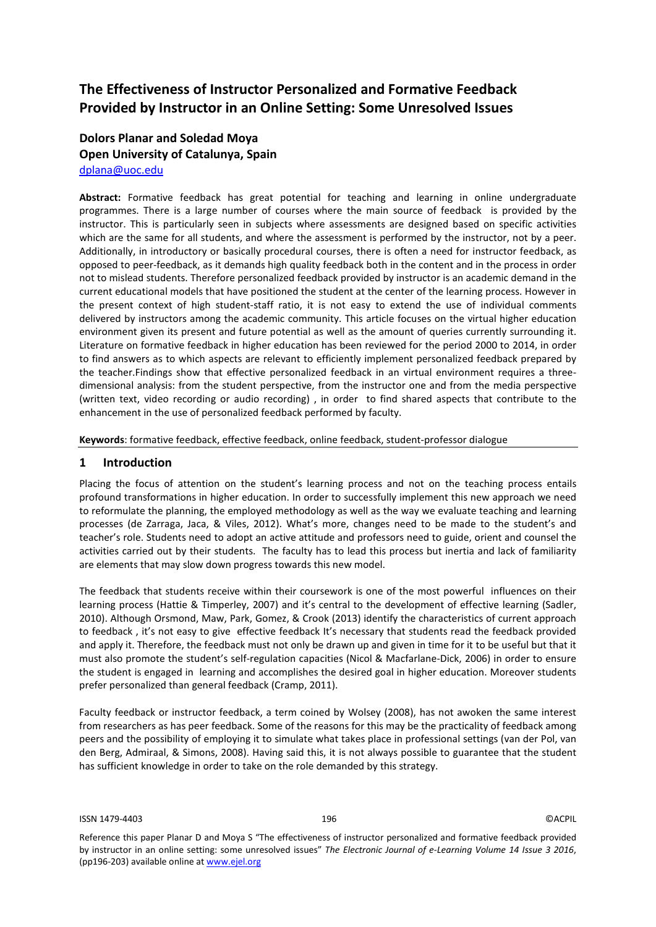# **The Effectiveness of Instructor Personalized and Formative Feedback Provided by Instructor in an Online Setting: Some Unresolved Issues**

# **Dolors Planar and Soledad Moya Open University of Catalunya, Spain** [dplana@uoc.edu](mailto:dplana@uoc.edu)

**Abstract:** Formative feedback has great potential for teaching and learning in online undergraduate programmes. There is a large number of courses where the main source of feedback is provided by the instructor. This is particularly seen in subjects where assessments are designed based on specific activities which are the same for all students, and where the assessment is performed by the instructor, not by a peer. Additionally, in introductory or basically procedural courses, there is often a need for instructor feedback, as opposed to peer-feedback, as it demands high quality feedback both in the content and in the process in order not to mislead students. Therefore personalized feedback provided by instructor is an academic demand in the current educational models that have positioned the student at the center of the learning process. However in the present context of high student-staff ratio, it is not easy to extend the use of individual comments delivered by instructors among the academic community. This article focuses on the virtual higher education environment given its present and future potential as well as the amount of queries currently surrounding it. Literature on formative feedback in higher education has been reviewed for the period 2000 to 2014, in order to find answers as to which aspects are relevant to efficiently implement personalized feedback prepared by the teacher.Findings show that effective personalized feedback in an virtual environment requires a threedimensional analysis: from the student perspective, from the instructor one and from the media perspective (written text, video recording or audio recording) , in order to find shared aspects that contribute to the enhancement in the use of personalized feedback performed by faculty.

**Keywords**: formative feedback, effective feedback, online feedback, student-professor dialogue

## **1 Introduction**

Placing the focus of attention on the student's learning process and not on the teaching process entails profound transformations in higher education. In order to successfully implement this new approach we need to reformulate the planning, the employed methodology as well as the way we evaluate teaching and learning processes (de Zarraga, Jaca, & Viles, 2012). What's more, changes need to be made to the student's and teacher's role. Students need to adopt an active attitude and professors need to guide, orient and counsel the activities carried out by their students. The faculty has to lead this process but inertia and lack of familiarity are elements that may slow down progress towards this new model.

The feedback that students receive within their coursework is one of the most powerful influences on their learning process (Hattie & Timperley, 2007) and it's central to the development of effective learning (Sadler, 2010). Although Orsmond, Maw, Park, Gomez, & Crook (2013) identify the characteristics of current approach to feedback , it's not easy to give effective feedback It's necessary that students read the feedback provided and apply it. Therefore, the feedback must not only be drawn up and given in time for it to be useful but that it must also promote the student's self-regulation capacities (Nicol & Macfarlane-Dick, 2006) in order to ensure the student is engaged in learning and accomplishes the desired goal in higher education. Moreover students prefer personalized than general feedback (Cramp, 2011).

Faculty feedback or instructor feedback, a term coined by Wolsey (2008), has not awoken the same interest from researchers as has peer feedback. Some of the reasons for this may be the practicality of feedback among peers and the possibility of employing it to simulate what takes place in professional settings (van der Pol, van den Berg, Admiraal, & Simons, 2008). Having said this, it is not always possible to guarantee that the student has sufficient knowledge in order to take on the role demanded by this strategy.

Reference this paper Planar D and Moya S "The effectiveness of instructor personalized and formative feedback provided by instructor in an online setting: some unresolved issues" *The Electronic Journal of e-Learning Volume 14 Issue 3 2016*, (pp196-203) available online at www.ejel.org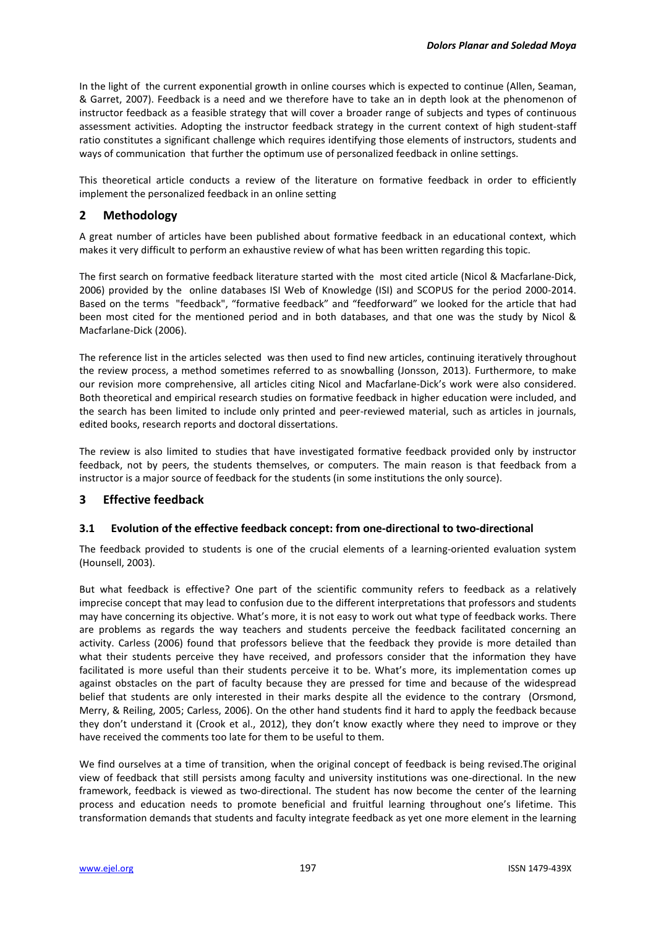In the light of the current exponential growth in online courses which is expected to continue (Allen, Seaman, & Garret, 2007). Feedback is a need and we therefore have to take an in depth look at the phenomenon of instructor feedback as a feasible strategy that will cover a broader range of subjects and types of continuous assessment activities. Adopting the instructor feedback strategy in the current context of high student-staff ratio constitutes a significant challenge which requires identifying those elements of instructors, students and ways of communication that further the optimum use of personalized feedback in online settings.

This theoretical article conducts a review of the literature on formative feedback in order to efficiently implement the personalized feedback in an online setting

# **2 Methodology**

A great number of articles have been published about formative feedback in an educational context, which makes it very difficult to perform an exhaustive review of what has been written regarding this topic.

The first search on formative feedback literature started with the most cited article (Nicol & Macfarlane-Dick, 2006) provided by the online databases ISI Web of Knowledge (ISI) and SCOPUS for the period 2000-2014. Based on the terms "feedback", "formative feedback" and "feedforward" we looked for the article that had been most cited for the mentioned period and in both databases, and that one was the study by Nicol & Macfarlane-Dick (2006).

The reference list in the articles selected was then used to find new articles, continuing iteratively throughout the review process, a method sometimes referred to as snowballing (Jonsson, 2013). Furthermore, to make our revision more comprehensive, all articles citing Nicol and Macfarlane-Dick's work were also considered. Both theoretical and empirical research studies on formative feedback in higher education were included, and the search has been limited to include only printed and peer-reviewed material, such as articles in journals, edited books, research reports and doctoral dissertations.

The review is also limited to studies that have investigated formative feedback provided only by instructor feedback, not by peers, the students themselves, or computers. The main reason is that feedback from a instructor is a major source of feedback for the students (in some institutions the only source).

# **3 Effective feedback**

# **3.1 Evolution of the effective feedback concept: from one-directional to two-directional**

The feedback provided to students is one of the crucial elements of a learning-oriented evaluation system (Hounsell, 2003).

But what feedback is effective? One part of the scientific community refers to feedback as a relatively imprecise concept that may lead to confusion due to the different interpretations that professors and students may have concerning its objective. What's more, it is not easy to work out what type of feedback works. There are problems as regards the way teachers and students perceive the feedback facilitated concerning an activity. Carless (2006) found that professors believe that the feedback they provide is more detailed than what their students perceive they have received, and professors consider that the information they have facilitated is more useful than their students perceive it to be. What's more, its implementation comes up against obstacles on the part of faculty because they are pressed for time and because of the widespread belief that students are only interested in their marks despite all the evidence to the contrary (Orsmond, Merry, & Reiling, 2005; Carless, 2006). On the other hand students find it hard to apply the feedback because they don't understand it (Crook et al., 2012), they don't know exactly where they need to improve or they have received the comments too late for them to be useful to them.

We find ourselves at a time of transition, when the original concept of feedback is being revised.The original view of feedback that still persists among faculty and university institutions was one-directional. In the new framework, feedback is viewed as two-directional. The student has now become the center of the learning process and education needs to promote beneficial and fruitful learning throughout one's lifetime. This transformation demands that students and faculty integrate feedback as yet one more element in the learning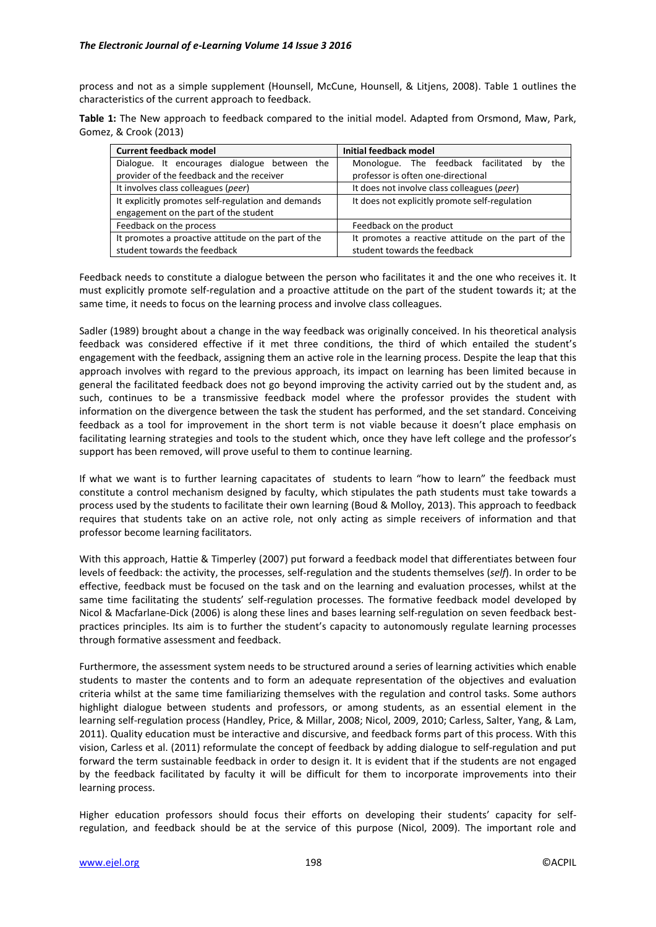process and not as a simple supplement (Hounsell, McCune, Hounsell, & Litjens, 2008). Table 1 outlines the characteristics of the current approach to feedback.

**Table 1:** The New approach to feedback compared to the initial model. Adapted from Orsmond, Maw, Park, Gomez, & Crook (2013)

| <b>Current feedback model</b>                       | Initial feedback model                             |
|-----------------------------------------------------|----------------------------------------------------|
| Dialogue. It encourages dialogue between the        | Monologue. The feedback facilitated<br>the<br>bv   |
| provider of the feedback and the receiver           | professor is often one-directional                 |
| It involves class colleagues (peer)                 | It does not involve class colleagues (peer)        |
| It explicitly promotes self-regulation and demands  | It does not explicitly promote self-regulation     |
| engagement on the part of the student               |                                                    |
| Feedback on the process                             | Feedback on the product                            |
| It promotes a proactive attitude on the part of the | It promotes a reactive attitude on the part of the |
| student towards the feedback                        | student towards the feedback                       |

Feedback needs to constitute a dialogue between the person who facilitates it and the one who receives it. It must explicitly promote self-regulation and a proactive attitude on the part of the student towards it; at the same time, it needs to focus on the learning process and involve class colleagues.

Sadler (1989) brought about a change in the way feedback was originally conceived. In his theoretical analysis feedback was considered effective if it met three conditions, the third of which entailed the student's engagement with the feedback, assigning them an active role in the learning process. Despite the leap that this approach involves with regard to the previous approach, its impact on learning has been limited because in general the facilitated feedback does not go beyond improving the activity carried out by the student and, as such, continues to be a transmissive feedback model where the professor provides the student with information on the divergence between the task the student has performed, and the set standard. Conceiving feedback as a tool for improvement in the short term is not viable because it doesn't place emphasis on facilitating learning strategies and tools to the student which, once they have left college and the professor's support has been removed, will prove useful to them to continue learning.

If what we want is to further learning capacitates of students to learn "how to learn" the feedback must constitute a control mechanism designed by faculty, which stipulates the path students must take towards a process used by the students to facilitate their own learning (Boud & Molloy, 2013). This approach to feedback requires that students take on an active role, not only acting as simple receivers of information and that professor become learning facilitators.

With this approach, Hattie & Timperley (2007) put forward a feedback model that differentiates between four levels of feedback: the activity, the processes, self-regulation and the students themselves (*self*). In order to be effective, feedback must be focused on the task and on the learning and evaluation processes, whilst at the same time facilitating the students' self-regulation processes. The formative feedback model developed by Nicol & Macfarlane-Dick (2006) is along these lines and bases learning self-regulation on seven feedback bestpractices principles. Its aim is to further the student's capacity to autonomously regulate learning processes through formative assessment and feedback.

Furthermore, the assessment system needs to be structured around a series of learning activities which enable students to master the contents and to form an adequate representation of the objectives and evaluation criteria whilst at the same time familiarizing themselves with the regulation and control tasks. Some authors highlight dialogue between students and professors, or among students, as an essential element in the learning self-regulation process (Handley, Price, & Millar, 2008; Nicol, 2009, 2010; Carless, Salter, Yang, & Lam, 2011). Quality education must be interactive and discursive, and feedback forms part of this process. With this vision, Carless et al. (2011) reformulate the concept of feedback by adding dialogue to self-regulation and put forward the term sustainable feedback in order to design it. It is evident that if the students are not engaged by the feedback facilitated by faculty it will be difficult for them to incorporate improvements into their learning process.

Higher education professors should focus their efforts on developing their students' capacity for selfregulation, and feedback should be at the service of this purpose (Nicol, 2009). The important role and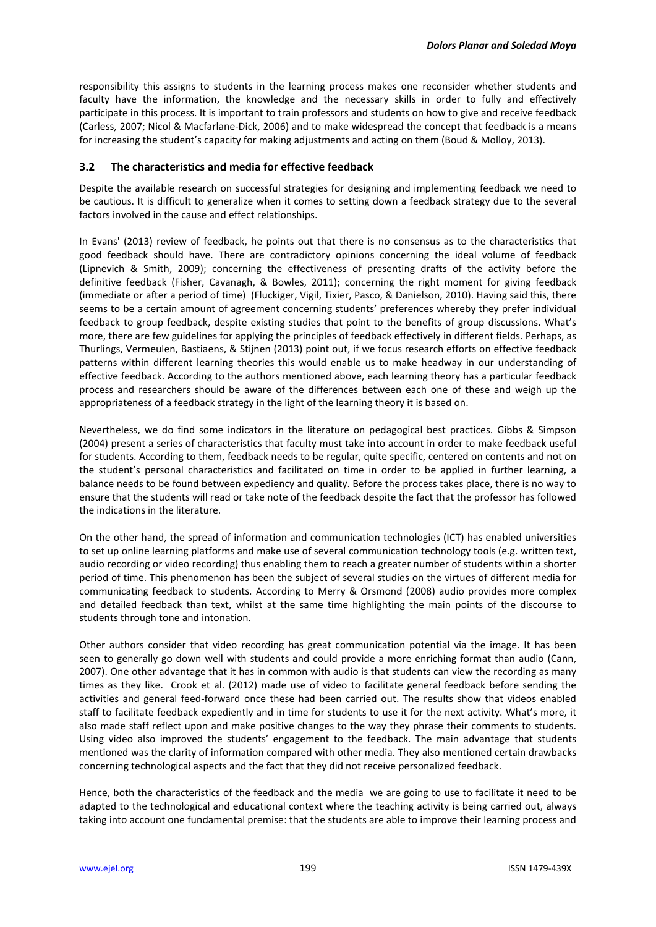responsibility this assigns to students in the learning process makes one reconsider whether students and faculty have the information, the knowledge and the necessary skills in order to fully and effectively participate in this process. It is important to train professors and students on how to give and receive feedback (Carless, 2007; Nicol & Macfarlane-Dick, 2006) and to make widespread the concept that feedback is a means for increasing the student's capacity for making adjustments and acting on them (Boud & Molloy, 2013).

#### **3.2 The characteristics and media for effective feedback**

Despite the available research on successful strategies for designing and implementing feedback we need to be cautious. It is difficult to generalize when it comes to setting down a feedback strategy due to the several factors involved in the cause and effect relationships.

In Evans' (2013) review of feedback, he points out that there is no consensus as to the characteristics that good feedback should have. There are contradictory opinions concerning the ideal volume of feedback (Lipnevich & Smith, 2009); concerning the effectiveness of presenting drafts of the activity before the definitive feedback (Fisher, Cavanagh, & Bowles, 2011); concerning the right moment for giving feedback (immediate or after a period of time) (Fluckiger, Vigil, Tixier, Pasco, & Danielson, 2010). Having said this, there seems to be a certain amount of agreement concerning students' preferences whereby they prefer individual feedback to group feedback, despite existing studies that point to the benefits of group discussions. What's more, there are few guidelines for applying the principles of feedback effectively in different fields. Perhaps, as Thurlings, Vermeulen, Bastiaens, & Stijnen (2013) point out, if we focus research efforts on effective feedback patterns within different learning theories this would enable us to make headway in our understanding of effective feedback. According to the authors mentioned above, each learning theory has a particular feedback process and researchers should be aware of the differences between each one of these and weigh up the appropriateness of a feedback strategy in the light of the learning theory it is based on.

Nevertheless, we do find some indicators in the literature on pedagogical best practices. Gibbs & Simpson (2004) present a series of characteristics that faculty must take into account in order to make feedback useful for students. According to them, feedback needs to be regular, quite specific, centered on contents and not on the student's personal characteristics and facilitated on time in order to be applied in further learning, a balance needs to be found between expediency and quality. Before the process takes place, there is no way to ensure that the students will read or take note of the feedback despite the fact that the professor has followed the indications in the literature.

On the other hand, the spread of information and communication technologies (ICT) has enabled universities to set up online learning platforms and make use of several communication technology tools (e.g. written text, audio recording or video recording) thus enabling them to reach a greater number of students within a shorter period of time. This phenomenon has been the subject of several studies on the virtues of different media for communicating feedback to students. According to Merry & Orsmond (2008) audio provides more complex and detailed feedback than text, whilst at the same time highlighting the main points of the discourse to students through tone and intonation.

Other authors consider that video recording has great communication potential via the image. It has been seen to generally go down well with students and could provide a more enriching format than audio (Cann, 2007). One other advantage that it has in common with audio is that students can view the recording as many times as they like. Crook et al. (2012) made use of video to facilitate general feedback before sending the activities and general feed-forward once these had been carried out. The results show that videos enabled staff to facilitate feedback expediently and in time for students to use it for the next activity. What's more, it also made staff reflect upon and make positive changes to the way they phrase their comments to students. Using video also improved the students' engagement to the feedback. The main advantage that students mentioned was the clarity of information compared with other media. They also mentioned certain drawbacks concerning technological aspects and the fact that they did not receive personalized feedback.

Hence, both the characteristics of the feedback and the media we are going to use to facilitate it need to be adapted to the technological and educational context where the teaching activity is being carried out, always taking into account one fundamental premise: that the students are able to improve their learning process and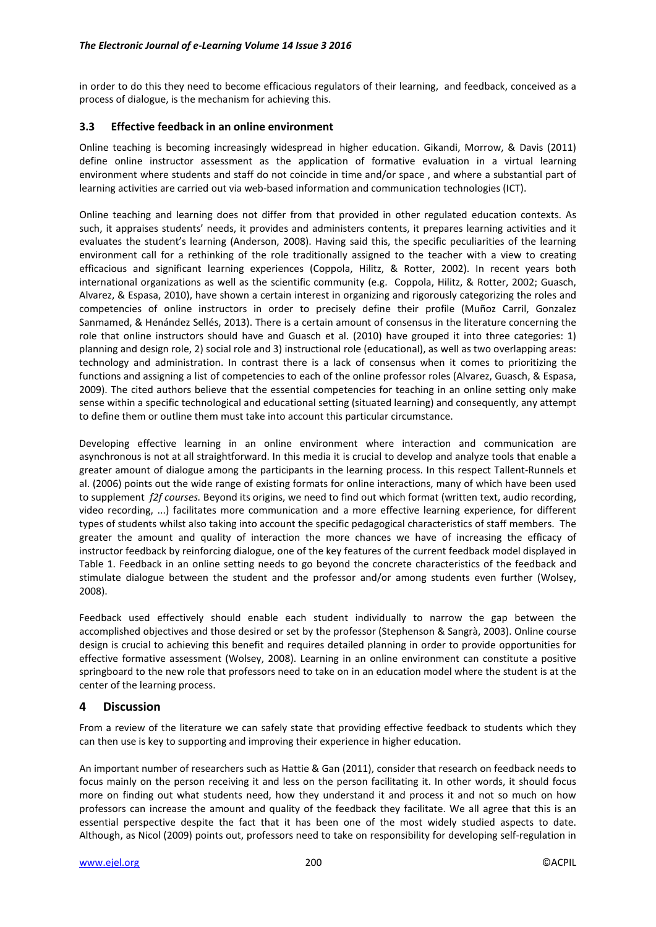in order to do this they need to become efficacious regulators of their learning, and feedback, conceived as a process of dialogue, is the mechanism for achieving this.

## **3.3 Effective feedback in an online environment**

Online teaching is becoming increasingly widespread in higher education. Gikandi, Morrow, & Davis (2011) define online instructor assessment as the application of formative evaluation in a virtual learning environment where students and staff do not coincide in time and/or space , and where a substantial part of learning activities are carried out via web-based information and communication technologies (ICT).

Online teaching and learning does not differ from that provided in other regulated education contexts. As such, it appraises students' needs, it provides and administers contents, it prepares learning activities and it evaluates the student's learning (Anderson, 2008). Having said this, the specific peculiarities of the learning environment call for a rethinking of the role traditionally assigned to the teacher with a view to creating efficacious and significant learning experiences (Coppola, Hilitz, & Rotter, 2002). In recent years both international organizations as well as the scientific community (e.g. Coppola, Hilitz, & Rotter, 2002; Guasch, Alvarez, & Espasa, 2010), have shown a certain interest in organizing and rigorously categorizing the roles and competencies of online instructors in order to precisely define their profile (Muñoz Carril, Gonzalez Sanmamed, & Henández Sellés, 2013). There is a certain amount of consensus in the literature concerning the role that online instructors should have and Guasch et al. (2010) have grouped it into three categories: 1) planning and design role, 2) social role and 3) instructional role (educational), as well as two overlapping areas: technology and administration. In contrast there is a lack of consensus when it comes to prioritizing the functions and assigning a list of competencies to each of the online professor roles (Alvarez, Guasch, & Espasa, 2009). The cited authors believe that the essential competencies for teaching in an online setting only make sense within a specific technological and educational setting (situated learning) and consequently, any attempt to define them or outline them must take into account this particular circumstance.

Developing effective learning in an online environment where interaction and communication are asynchronous is not at all straightforward. In this media it is crucial to develop and analyze tools that enable a greater amount of dialogue among the participants in the learning process. In this respect Tallent-Runnels et al. (2006) points out the wide range of existing formats for online interactions, many of which have been used to supplement *f2f courses.* Beyond its origins, we need to find out which format (written text, audio recording, video recording, ...) facilitates more communication and a more effective learning experience, for different types of students whilst also taking into account the specific pedagogical characteristics of staff members. The greater the amount and quality of interaction the more chances we have of increasing the efficacy of instructor feedback by reinforcing dialogue, one of the key features of the current feedback model displayed in Table 1. Feedback in an online setting needs to go beyond the concrete characteristics of the feedback and stimulate dialogue between the student and the professor and/or among students even further (Wolsey, 2008).

Feedback used effectively should enable each student individually to narrow the gap between the accomplished objectives and those desired or set by the professor (Stephenson & Sangrà, 2003). Online course design is crucial to achieving this benefit and requires detailed planning in order to provide opportunities for effective formative assessment (Wolsey, 2008). Learning in an online environment can constitute a positive springboard to the new role that professors need to take on in an education model where the student is at the center of the learning process.

# **4 Discussion**

From a review of the literature we can safely state that providing effective feedback to students which they can then use is key to supporting and improving their experience in higher education.

An important number of researchers such as Hattie & Gan (2011), consider that research on feedback needs to focus mainly on the person receiving it and less on the person facilitating it. In other words, it should focus more on finding out what students need, how they understand it and process it and not so much on how professors can increase the amount and quality of the feedback they facilitate. We all agree that this is an essential perspective despite the fact that it has been one of the most widely studied aspects to date. Although, as Nicol (2009) points out, professors need to take on responsibility for developing self-regulation in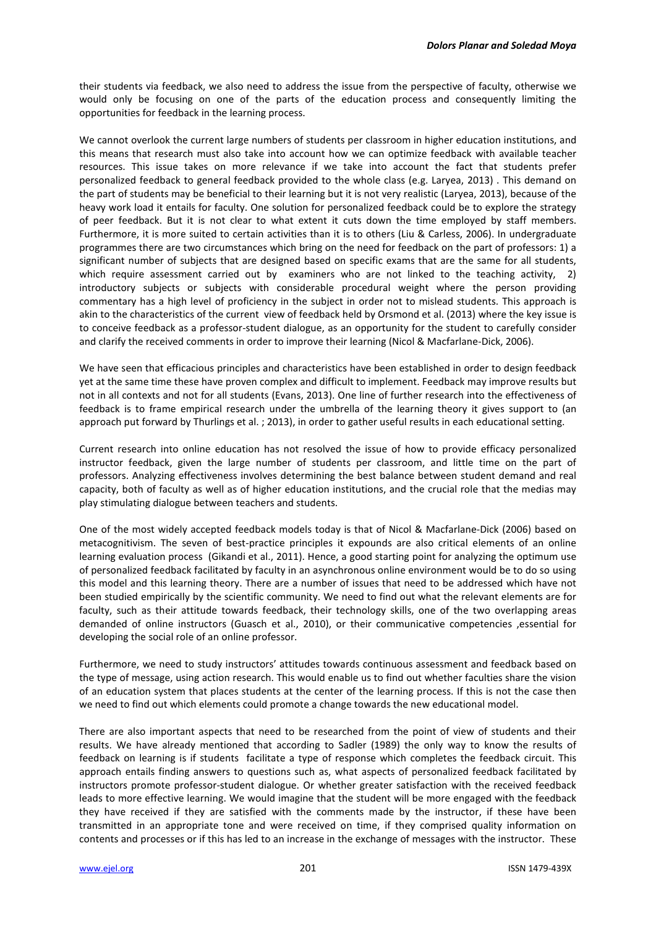their students via feedback, we also need to address the issue from the perspective of faculty, otherwise we would only be focusing on one of the parts of the education process and consequently limiting the opportunities for feedback in the learning process.

We cannot overlook the current large numbers of students per classroom in higher education institutions, and this means that research must also take into account how we can optimize feedback with available teacher resources. This issue takes on more relevance if we take into account the fact that students prefer personalized feedback to general feedback provided to the whole class (e.g. Laryea, 2013) . This demand on the part of students may be beneficial to their learning but it is not very realistic (Laryea, 2013), because of the heavy work load it entails for faculty. One solution for personalized feedback could be to explore the strategy of peer feedback. But it is not clear to what extent it cuts down the time employed by staff members. Furthermore, it is more suited to certain activities than it is to others (Liu & Carless, 2006). In undergraduate programmes there are two circumstances which bring on the need for feedback on the part of professors: 1) a significant number of subjects that are designed based on specific exams that are the same for all students, which require assessment carried out by examiners who are not linked to the teaching activity, 2) introductory subjects or subjects with considerable procedural weight where the person providing commentary has a high level of proficiency in the subject in order not to mislead students. This approach is akin to the characteristics of the current view of feedback held by Orsmond et al. (2013) where the key issue is to conceive feedback as a professor-student dialogue, as an opportunity for the student to carefully consider and clarify the received comments in order to improve their learning (Nicol & Macfarlane-Dick, 2006).

We have seen that efficacious principles and characteristics have been established in order to design feedback yet at the same time these have proven complex and difficult to implement. Feedback may improve results but not in all contexts and not for all students (Evans, 2013). One line of further research into the effectiveness of feedback is to frame empirical research under the umbrella of the learning theory it gives support to (an approach put forward by Thurlings et al. ; 2013), in order to gather useful results in each educational setting.

Current research into online education has not resolved the issue of how to provide efficacy personalized instructor feedback, given the large number of students per classroom, and little time on the part of professors. Analyzing effectiveness involves determining the best balance between student demand and real capacity, both of faculty as well as of higher education institutions, and the crucial role that the medias may play stimulating dialogue between teachers and students.

One of the most widely accepted feedback models today is that of Nicol & Macfarlane-Dick (2006) based on metacognitivism. The seven of best-practice principles it expounds are also critical elements of an online learning evaluation process (Gikandi et al., 2011). Hence, a good starting point for analyzing the optimum use of personalized feedback facilitated by faculty in an asynchronous online environment would be to do so using this model and this learning theory. There are a number of issues that need to be addressed which have not been studied empirically by the scientific community. We need to find out what the relevant elements are for faculty, such as their attitude towards feedback, their technology skills, one of the two overlapping areas demanded of online instructors (Guasch et al., 2010), or their communicative competencies ,essential for developing the social role of an online professor.

Furthermore, we need to study instructors' attitudes towards continuous assessment and feedback based on the type of message, using action research. This would enable us to find out whether faculties share the vision of an education system that places students at the center of the learning process. If this is not the case then we need to find out which elements could promote a change towards the new educational model.

There are also important aspects that need to be researched from the point of view of students and their results. We have already mentioned that according to Sadler (1989) the only way to know the results of feedback on learning is if students facilitate a type of response which completes the feedback circuit. This approach entails finding answers to questions such as, what aspects of personalized feedback facilitated by instructors promote professor-student dialogue. Or whether greater satisfaction with the received feedback leads to more effective learning. We would imagine that the student will be more engaged with the feedback they have received if they are satisfied with the comments made by the instructor, if these have been transmitted in an appropriate tone and were received on time, if they comprised quality information on contents and processes or if this has led to an increase in the exchange of messages with the instructor. These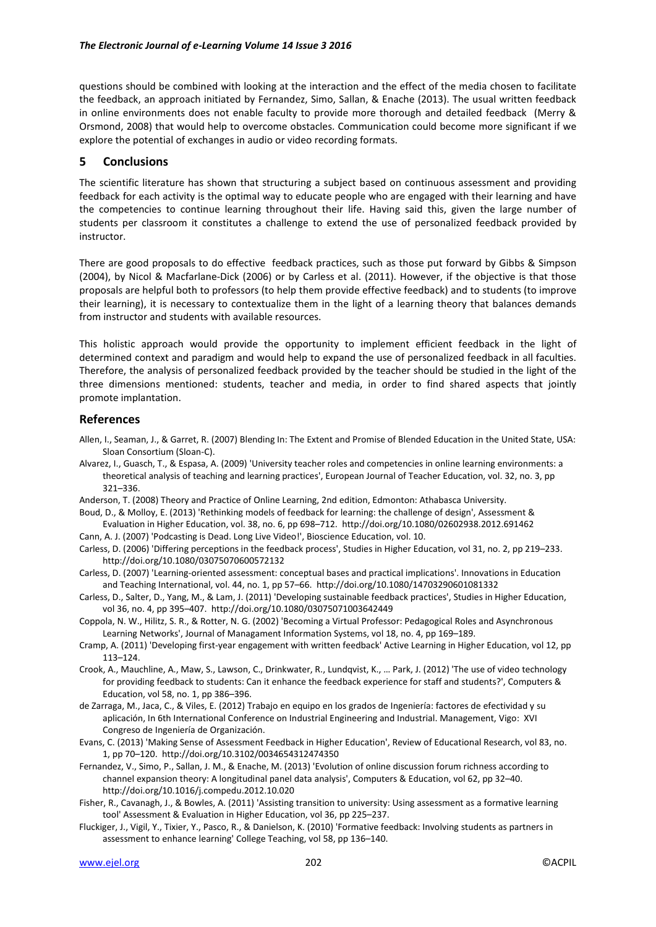questions should be combined with looking at the interaction and the effect of the media chosen to facilitate the feedback, an approach initiated by Fernandez, Simo, Sallan, & Enache (2013). The usual written feedback in online environments does not enable faculty to provide more thorough and detailed feedback (Merry & Orsmond, 2008) that would help to overcome obstacles. Communication could become more significant if we explore the potential of exchanges in audio or video recording formats.

#### **5 Conclusions**

The scientific literature has shown that structuring a subject based on continuous assessment and providing feedback for each activity is the optimal way to educate people who are engaged with their learning and have the competencies to continue learning throughout their life. Having said this, given the large number of students per classroom it constitutes a challenge to extend the use of personalized feedback provided by instructor.

There are good proposals to do effective feedback practices, such as those put forward by Gibbs & Simpson (2004), by Nicol & Macfarlane-Dick (2006) or by Carless et al. (2011). However, if the objective is that those proposals are helpful both to professors (to help them provide effective feedback) and to students (to improve their learning), it is necessary to contextualize them in the light of a learning theory that balances demands from instructor and students with available resources.

This holistic approach would provide the opportunity to implement efficient feedback in the light of determined context and paradigm and would help to expand the use of personalized feedback in all faculties. Therefore, the analysis of personalized feedback provided by the teacher should be studied in the light of the three dimensions mentioned: students, teacher and media, in order to find shared aspects that jointly promote implantation.

#### **References**

- Allen, I., Seaman, J., & Garret, R. (2007) Blending In: The Extent and Promise of Blended Education in the United State, USA: Sloan Consortium (Sloan-C).
- Alvarez, I., Guasch, T., & Espasa, A. (2009) 'University teacher roles and competencies in online learning environments: a theoretical analysis of teaching and learning practices', European Journal of Teacher Education, vol. 32, no. 3, pp 321–336.
- Anderson, T. (2008) Theory and Practice of Online Learning, 2nd edition, Edmonton: Athabasca University.
- Boud, D., & Molloy, E. (2013) 'Rethinking models of feedback for learning: the challenge of design', Assessment & Evaluation in Higher Education, vol. 38, no. 6, pp 698–712. http://doi.org/10.1080/02602938.2012.691462
- Cann, A. J. (2007) 'Podcasting is Dead. Long Live Video!', Bioscience Education, vol. 10.
- Carless, D. (2006) 'Differing perceptions in the feedback process', Studies in Higher Education, vol 31, no. 2, pp 219–233. http://doi.org/10.1080/03075070600572132
- Carless, D. (2007) 'Learning-oriented assessment: conceptual bases and practical implications'. Innovations in Education and Teaching International, vol. 44, no. 1, pp 57–66. http://doi.org/10.1080/14703290601081332
- Carless, D., Salter, D., Yang, M., & Lam, J. (2011) 'Developing sustainable feedback practices', Studies in Higher Education, vol 36, no. 4, pp 395–407. http://doi.org/10.1080/03075071003642449
- Coppola, N. W., Hilitz, S. R., & Rotter, N. G. (2002) 'Becoming a Virtual Professor: Pedagogical Roles and Asynchronous Learning Networks', Journal of Managament Information Systems, vol 18, no. 4, pp 169–189.
- Cramp, A. (2011) 'Developing first-year engagement with written feedback' Active Learning in Higher Education, vol 12, pp 113–124.
- Crook, A., Mauchline, A., Maw, S., Lawson, C., Drinkwater, R., Lundqvist, K., … Park, J. (2012) 'The use of video technology for providing feedback to students: Can it enhance the feedback experience for staff and students?', Computers & Education, vol 58, no. 1, pp 386–396.
- de Zarraga, M., Jaca, C., & Viles, E. (2012) Trabajo en equipo en los grados de Ingeniería: factores de efectividad y su aplicación, In 6th International Conference on Industrial Engineering and Industrial. Management, Vigo: XVI Congreso de Ingeniería de Organización.
- Evans, C. (2013) 'Making Sense of Assessment Feedback in Higher Education', Review of Educational Research, vol 83, no. 1, pp 70–120. http://doi.org/10.3102/0034654312474350
- Fernandez, V., Simo, P., Sallan, J. M., & Enache, M. (2013) 'Evolution of online discussion forum richness according to channel expansion theory: A longitudinal panel data analysis', Computers & Education, vol 62, pp 32–40. http://doi.org/10.1016/j.compedu.2012.10.020
- Fisher, R., Cavanagh, J., & Bowles, A. (2011) 'Assisting transition to university: Using assessment as a formative learning tool' Assessment & Evaluation in Higher Education, vol 36, pp 225–237.
- Fluckiger, J., Vigil, Y., Tixier, Y., Pasco, R., & Danielson, K. (2010) 'Formative feedback: Involving students as partners in assessment to enhance learning' College Teaching, vol 58, pp 136–140.